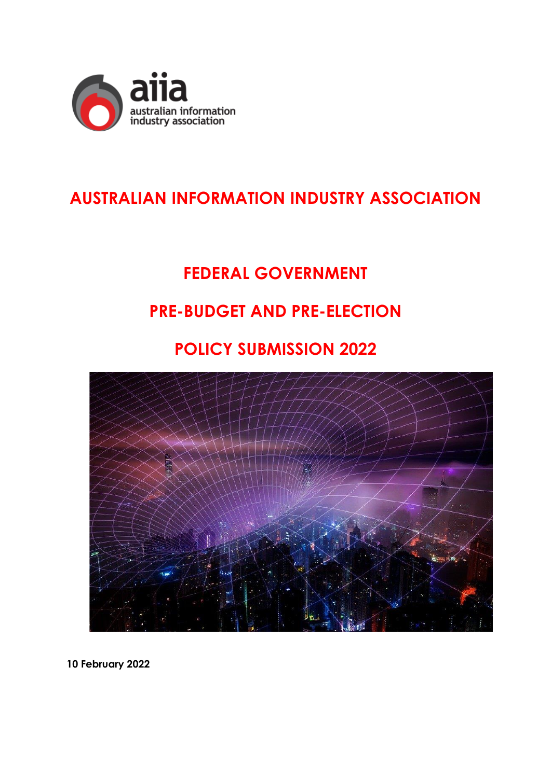

## **AUSTRALIAN INFORMATION INDUSTRY ASSOCIATION**

# **FEDERAL GOVERNMENT**

### **PRE-BUDGET AND PRE-ELECTION**

## **POLICY SUBMISSION 2022**



**10 February 2022**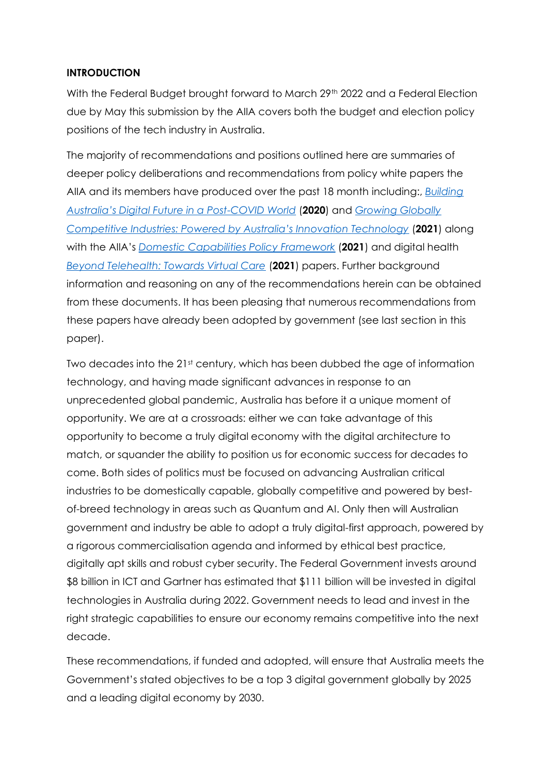#### **INTRODUCTION**

With the Federal Budget brought forward to March 29<sup>th</sup> 2022 and a Federal Election due by May this submission by the AIIA covers both the budget and election policy positions of the tech industry in Australia.

The majority of recommendations and positions outlined here are summaries of deeper policy deliberations and recommendations from policy white papers the AIIA and its members have produced over the past 18 month including:, *[Building](https://35hddx2cwawgt701l2sq0v5c-wpengine.netdna-ssl.com/wp-content/uploads/2021/03/Building-Australias-Digital-Future-in-a-Post-COVID-World-AIIA-Whitepaper-2020-2.pdf)  [Australia's Digital Future in a Post](https://35hddx2cwawgt701l2sq0v5c-wpengine.netdna-ssl.com/wp-content/uploads/2021/03/Building-Australias-Digital-Future-in-a-Post-COVID-World-AIIA-Whitepaper-2020-2.pdf)-COVID World* (**2020**) and *[Growing Globally](https://35hddx2cwawgt701l2sq0v5c-wpengine.netdna-ssl.com/wp-content/uploads/2021/08/AIIA-Growing-Globally-Competitive-Industries.pdf)  [Competitive Industries: Powered by Australia's Innovation Technology](https://35hddx2cwawgt701l2sq0v5c-wpengine.netdna-ssl.com/wp-content/uploads/2021/08/AIIA-Growing-Globally-Competitive-Industries.pdf)* (**2021**) along with the AIIA's *[Domestic Capabilities Policy](https://aiia.com.au/wp-content/uploads/2021/06/AIIA-DC-Framework-Policy-2021-1.pdf) Framework* (**2021**) and digital health *[Beyond Telehealth: Towards Virtual Care](https://35hddx2cwawgt701l2sq0v5c-wpengine.netdna-ssl.com/wp-content/uploads/2021/04/AIIA-Beyond-Telehealth-Whitepaper_Apr2021.pdf)* (**2021**) papers. Further background information and reasoning on any of the recommendations herein can be obtained from these documents. It has been pleasing that numerous recommendations from these papers have already been adopted by government (see last section in this paper).

Two decades into the 21st century, which has been dubbed the age of information technology, and having made significant advances in response to an unprecedented global pandemic, Australia has before it a unique moment of opportunity. We are at a crossroads: either we can take advantage of this opportunity to become a truly digital economy with the digital architecture to match, or squander the ability to position us for economic success for decades to come. Both sides of politics must be focused on advancing Australian critical industries to be domestically capable, globally competitive and powered by bestof-breed technology in areas such as Quantum and AI. Only then will Australian government and industry be able to adopt a truly digital-first approach, powered by a rigorous commercialisation agenda and informed by ethical best practice, digitally apt skills and robust cyber security. The Federal Government invests around \$8 billion in ICT and Gartner has estimated that \$111 billion will be invested in digital technologies in Australia during 2022. Government needs to lead and invest in the right strategic capabilities to ensure our economy remains competitive into the next decade.

These recommendations, if funded and adopted, will ensure that Australia meets the Government's stated objectives to be a top 3 digital government globally by 2025 and a leading digital economy by 2030.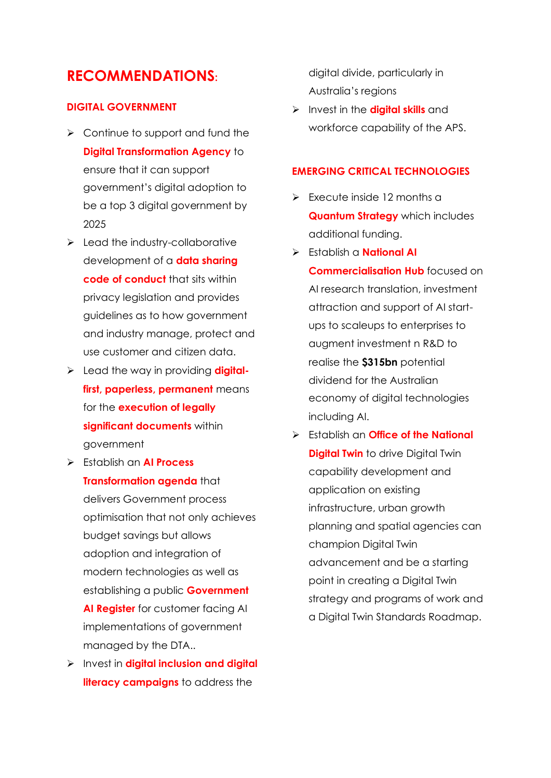### **RECOMMENDATIONS:**

#### **DIGITAL GOVERNMENT**

- $\triangleright$  Continue to support and fund the **Digital Transformation Agency** to ensure that it can support government's digital adoption to be a top 3 digital government by 2025
- $\blacktriangleright$  Lead the industry-collaborative development of a **data sharing code of conduct** that sits within privacy legislation and provides guidelines as to how government and industry manage, protect and use customer and citizen data.
- ➢ Lead the way in providing **digitalfirst, paperless, permanent** means for the **execution of legally significant documents** within government
- ➢ Establish an **AI Process Transformation agenda** that delivers Government process optimisation that not only achieves budget savings but allows adoption and integration of modern technologies as well as establishing a public **Government AI Register** for customer facing AI implementations of government managed by the DTA..
- ➢ Invest in **digital inclusion and digital literacy campaigns** to address the

digital divide, particularly in Australia's regions

➢ Invest in the **digital skills** and workforce capability of the APS.

#### **EMERGING CRITICAL TECHNOLOGIES**

- ➢ Execute inside 12 months a **Quantum Strategy** which includes additional funding.
- ➢ Establish a **National AI Commercialisation Hub** focused on AI research translation, investment attraction and support of AI startups to scaleups to enterprises to augment investment n R&D to realise the **\$315bn** potential dividend for the Australian economy of digital technologies including AI.
- ➢ Establish an **Office of the National Digital Twin** to drive Digital Twin capability development and application on existing infrastructure, urban growth planning and spatial agencies can champion Digital Twin advancement and be a starting point in creating a Digital Twin strategy and programs of work and a Digital Twin Standards Roadmap.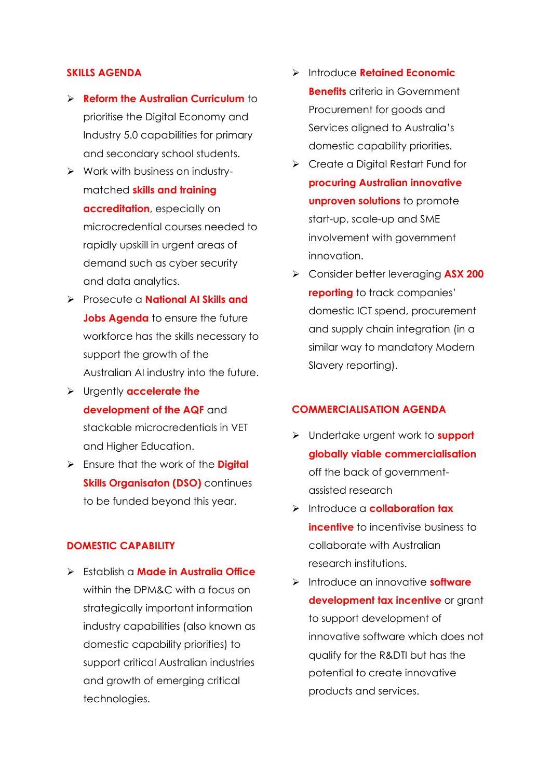#### **SKILLS AGENDA**

- ➢ **Reform the Australian Curriculum** to prioritise the Digital Economy and Industry 5.0 capabilities for primary and secondary school students.
- ➢ Work with business on industrymatched **skills and training accreditation**, especially on microcredential courses needed to rapidly upskill in urgent areas of demand such as cyber security and data analytics.
- ➢ Prosecute a **National AI Skills and Jobs Agenda** to ensure the future workforce has the skills necessary to support the growth of the Australian AI industry into the future.
- ➢ Urgently **accelerate the development of the AQF** and stackable microcredentials in VET and Higher Education.
- ➢ Ensure that the work of the **Digital Skills Organisaton (DSO)** continues to be funded beyond this year.

#### **DOMESTIC CAPABILITY**

➢ Establish a **Made in Australia Office** within the DPM&C with a focus on strategically important information industry capabilities (also known as domestic capability priorities) to support critical Australian industries and growth of emerging critical technologies.

- ➢ Introduce **Retained Economic Benefits** criteria in Government Procurement for goods and Services aligned to Australia's domestic capability priorities.
- ➢ Create a Digital Restart Fund for **procuring Australian innovative unproven solutions** to promote start-up, scale-up and SME involvement with government innovation.
- ➢ Consider better leveraging **ASX 200 reporting** to track companies' domestic ICT spend, procurement and supply chain integration (in a similar way to mandatory Modern Slavery reporting).

#### **COMMERCIALISATION AGENDA**

- ➢ Undertake urgent work to **support globally viable commercialisation** off the back of governmentassisted research
- ➢ Introduce a **collaboration tax incentive** to incentivise business to collaborate with Australian research institutions.
- ➢ Introduce an innovative **software**  development tax incentive or grant to support development of innovative software which does not qualify for the R&DTI but has the potential to create innovative products and services.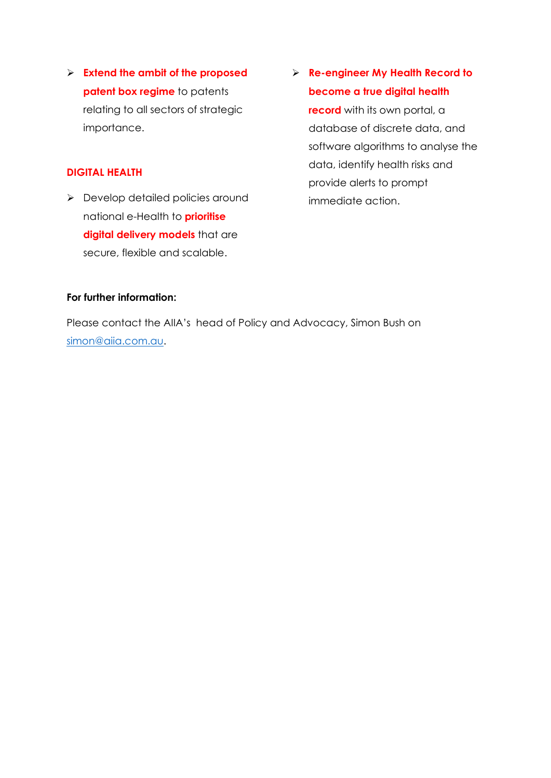➢ **Extend the ambit of the proposed patent box regime** to patents relating to all sectors of strategic importance.

#### **DIGITAL HEALTH**

➢ Develop detailed policies around national e-Health to **prioritise digital delivery models** that are secure, flexible and scalable.

### ➢ **Re-engineer My Health Record to become a true digital health**

**record** with its own portal, a database of discrete data, and software algorithms to analyse the data, identify health risks and provide alerts to prompt immediate action.

#### **For further information:**

Please contact the AIIA's head of Policy and Advocacy, Simon Bush on [simon@aiia.com.au.](mailto:simon@aiia.com.au)